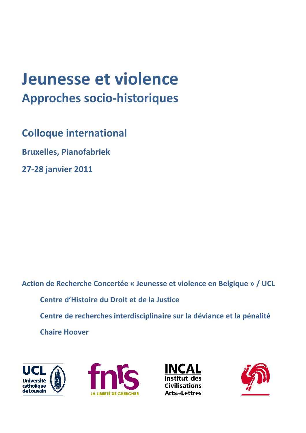# Jeunesse et violence **Approches socio-historiques**

**Colloque international** 

**Bruxelles, Pianofabriek** 

27-28 janvier 2011

Action de Recherche Concertée « Jeunesse et violence en Belgique » / UCL Centre d'Histoire du Droit et de la Justice Centre de recherches interdisciplinaire sur la déviance et la pénalité **Chaire Hoover** 







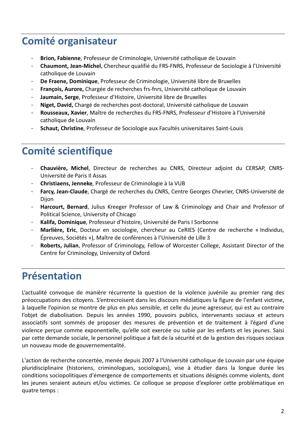## **Comité organisateur**

- Brion, Fabienne, Professeur de Criminologie, Université catholique de Louvain
- Chaumont, Jean-Michel, Chercheur qualifié du FRS-FNRS, Professeur de Sociologie à l'Université  $\sim$ catholique de Louvain
- De Fraene, Dominique, Professeur de Criminologie, Université libre de Bruxelles
- François, Aurore, Chargée de recherches frs-fnrs, Université catholique de Louvain
- Jaumain, Serge, Professeur d'Histoire, Université libre de Bruxelles
- Niget. David. Chargé de recherches post-doctoral. Université catholique de Louvain  $\sim$
- Rousseaux, Xavier, Maître de recherches du FRS-FNRS, Professeur d'Histoire à l'Université catholique de Louvain
- Schaut, Christine, Professeur de Sociologie aux Facultés universitaires Saint-Louis

## **Comité scientifique**

- Chauvière, Michel, Directeur de recherches au CNRS, Directeur adjoint du CERSAP, CNRS-Université de Paris II Assas
- Christiaens. Jenneke. Professeur de Criminologie à la VUB
- Farcy, Jean-Claude, Chargé de recherches du CNRS, Centre Georges Chevrier, CNRS-Université de Dijon
- Harcourt, Bernard, Julius Kreeger Professor of Law & Criminology and Chair and Professor of Political Science, University of Chicago
- Kalifa, Dominique, Professeur d'histoire, Université de Paris I Sorbonne
- Marlière, Eric, Docteur en sociologie, chercheur au CeRIES (Centre de recherche « Individus, Épreuves, Sociétés »), Maître de conférences à l'Université de Lille 3
- Roberts, Julian, Professor of Criminology, Fellow of Worcester College, Assistant Director of the Centre for Criminology, University of Oxford

## **Présentation**

L'actualité convoque de manière récurrente la question de la violence juvénile au premier rang des préoccupations des citoyens. S'entrecroisent dans les discours médiatiques la figure de l'enfant victime, à laquelle l'opinion se montre de plus en plus sensible, et celle du jeune agresseur, qui est au contraire l'objet de diabolisation. Depuis les années 1990, pouvoirs publics, intervenants sociaux et acteurs associatifs sont sommés de proposer des mesures de prévention et de traitement à l'égard d'une violence perçue comme exponentielle, qu'elle soit exercée ou subie par les enfants et les jeunes. Saisi par cette demande sociale, le personnel politique a fait de la sécurité et de la gestion des risques sociaux un nouveau mode de gouvernementalité.

L'action de recherche concertée, menée depuis 2007 à l'Université catholique de Louvain par une équipe pluridisciplinaire (historiens, criminologues, sociologues), vise à étudier dans la longue durée les conditions sociopolitiques d'émergence de comportements et situations désignés comme violents, dont les jeunes seraient auteurs et/ou victimes. Ce colloque se propose d'explorer cette problématique en quatre temps :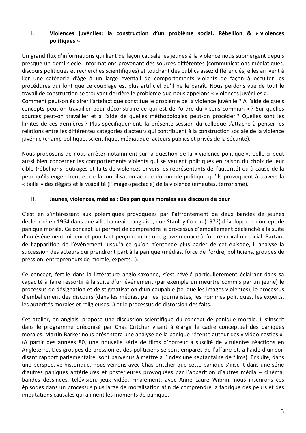#### Violences juvéniles: la construction d'un problème social. Rébellion & « violences  $\mathbf{I}$ . politiques »

Un grand flux d'informations qui lient de façon causale les jeunes à la violence nous submergent depuis presque un demi-siècle. Informations provenant des sources différentes (communications médiatiques, discours politiques et recherches scientifiques) et touchant des publics assez différenciés, elles arrivent à lier une catégorie d'âge à un large éventail de comportements violents de façon à occulter les procédures qui font que ce couplage est plus artificiel qu'il ne le paraît. Nous perdons vue de tout le travail de construction se trouvant derrière le problème que nous appelons « violences juvéniles ». Comment peut-on éclairer l'artefact que constitue le problème de la violence juvénile ? A l'aide de quels concepts peut-on travailler pour déconstruire ce qui est de l'ordre du « sens commun » ? Sur quelles sources peut-on travailler et à l'aide de quelles méthodologies peut-on procéder ? Quelles sont les

limites de ces dernières ? Plus spécifiquement, la présente session du colloque s'attache à penser les relations entre les différentes catégories d'acteurs qui contribuent à la construction sociale de la violence juvénile (champ politique, scientifique, médiatique, acteurs publics et privés de la sécurité).

Nous proposons de nous arrêter notamment sur la question de la « violence politique ». Celle-ci peut aussi bien concerner les comportements violents qui se veulent politiques en raison du choix de leur cible (rébellions, outrages et faits de violences envers les représentants de l'autorité) ou à cause de la peur qu'ils engendrent et de la mobilisation accrue du monde politique qu'ils provoquent à travers la « taille » des dégâts et la visibilité (l'image-spectacle) de la violence (émeutes, terrorisme).

#### $II.$ Jeunes, violences, médias : Des paniques morales aux discours de peur

C'est en s'intéressant aux polémiques provoquées par l'affrontement de deux bandes de jeunes déclenché en 1964 dans une ville balnéaire anglaise, que Stanley Cohen (1972) développe le concept de panique morale. Ce concept lui permet de comprendre le processus d'emballement déclenché à la suite d'un événement mineur et pourtant perçu comme une grave menace à l'ordre moral ou social. Partant de l'apparition de l'événement jusqu'à ce qu'on n'entende plus parler de cet épisode, il analyse la succession des acteurs qui prendront part à la panique (médias, force de l'ordre, politiciens, groupes de pression, entrepreneurs de morale, experts...).

Ce concept, fertile dans la littérature anglo-saxonne, s'est révélé particulièrement éclairant dans sa capacité à faire ressortir à la suite d'un événement (par exemple un meurtre commis par un jeune) le processus de désignation et de stigmatisation d'un coupable (tel que les images violentes), le processus d'emballement des discours (dans les médias, par les journalistes, les hommes politiques, les experts, les autorités morales et religieuses...) et le processus de distorsion des faits.

Cet atelier, en anglais, propose une discussion scientifique du concept de panique morale. Il s'inscrit dans le programme préconisé par Chas Critcher visant à élargir le cadre conceptuel des paniques morales. Martin Barker nous présentera une analyse de la panique récente autour des « video nasties ». (A partir des années 80, une nouvelle série de films d'horreur a suscité de virulentes réactions en Angleterre. Des groupes de pression et des politiciens se sont emparés de l'affaire et, à l'aide d'un soidisant rapport parlementaire, sont parvenus à mettre à l'index une septantaine de films). Ensuite, dans une perspective historique, nous verrons avec Chas Critcher que cette panique s'inscrit dans une série d'autres paniques antérieures et postérieures provoquées par l'apparition d'autres média – cinéma, bandes dessinées, télévision, jeux vidéo. Finalement, avec Anne Laure Wibrin, nous inscrirons ces épisodes dans un processus plus large de moralisation afin de comprendre la fabrique des peurs et des imputations causales qui aliment les moments de panique.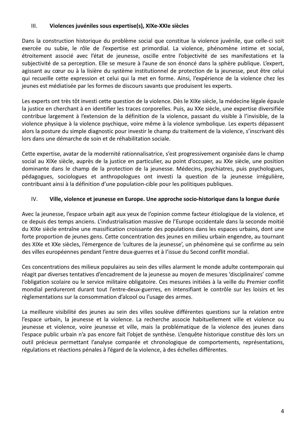#### $III.$ Violences juvéniles sous expertise(s), XIXe-XXIe siècles

Dans la construction historique du problème social que constitue la violence juvénile, que celle-ci soit exercée ou subie, le rôle de l'expertise est primordial. La violence, phénomène intime et social, étroitement associé avec l'état de jeunesse, oscille entre l'objectivité de ses manifestations et la subjectivité de sa perception. Elle se mesure à l'aune de son énoncé dans la sphère publique. L'expert, agissant au cœur ou à la lisière du système institutionnel de protection de la jeunesse, peut être celui gui recueille cette expression et celui qui la met en forme. Ainsi, l'expérience de la violence chez les jeunes est médiatisée par les formes de discours savants que produisent les experts.

Les experts ont très tôt investi cette question de la violence. Dès le XIXe siècle, la médecine légale épaule la justice en cherchant à en identifier les traces corporelles. Puis, au XXe siècle, une expertise diversifiée contribue largement à l'extension de la définition de la violence, passant du visible à l'invisible, de la violence physique à la violence psychique, voire même à la violence symbolique. Les experts dépassent alors la posture du simple diagnostic pour investir le champ du traitement de la violence, s'inscrivant dès lors dans une démarche de soin et de réhabilitation sociale.

Cette expertise, avatar de la modernité rationnalisatrice, s'est progressivement organisée dans le champ social au XIXe siècle, auprès de la justice en particulier, au point d'occuper, au XXe siècle, une position dominante dans le champ de la protection de la jeunesse. Médecins, psychiatres, puis psychologues, pédagogues, sociologues et anthropologues ont investi la question de la jeunesse irrégulière, contribuant ainsi à la définition d'une population-cible pour les politiques publiques.

#### IV. Ville, violence et jeunesse en Europe. Une approche socio-historique dans la longue durée

Avec la jeunesse, l'espace urbain agit aux yeux de l'opinion comme facteur étiologique de la violence, et ce depuis des temps anciens. L'industrialisation massive de l'Europe occidentale dans la seconde moitié du XIXe siècle entraîne une massification croissante des populations dans les espaces urbains, dont une forte proportion de jeunes gens. Cette concentration des jeunes en milieu urbain engendre, au tournant des XIXe et XXe siècles, l'émergence de 'cultures de la jeunesse', un phénomène qui se confirme au sein des villes européennes pendant l'entre deux-guerres et à l'issue du Second conflit mondial.

Ces concentrations des milieux populaires au sein des villes alarment le monde adulte contemporain qui réagit par diverses tentatives d'encadrement de la jeunesse au moyen de mesures 'disciplinaires' comme l'obligation scolaire ou le service militaire obligatoire. Ces mesures initiées à la veille du Premier conflit mondial perdureront durant tout l'entre-deux-guerres, en intensifiant le contrôle sur les loisirs et les règlementations sur la consommation d'alcool ou l'usage des armes.

La meilleure visibilité des jeunes au sein des villes soulève différentes questions sur la relation entre l'espace urbain, la jeunesse et la violence. La recherche associe habituellement ville et violence ou jeunesse et violence, voire jeunesse et ville, mais la problématique de la violence des jeunes dans l'espace public urbain n'a pas encore fait l'objet de synthèse. L'enquête historique constitue dès lors un outil précieux permettant l'analyse comparée et chronologique de comportements, représentations, régulations et réactions pénales à l'égard de la violence, à des échelles différentes.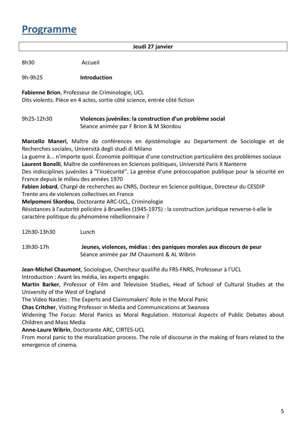## **Programme**

#### Jeudi 27 janvier

8h30 Accueil

9h-9h25 **Introduction** 

Fabienne Brion, Professeur de Criminologie, UCL

Dits violents. Pièce en 4 actes, sortie côté science, entrée côté fiction

#### 9h25-12h30 Violences juvéniles: la construction d'un problème social Séance animée par F Brion & M Skordou

Marcello Maneri, Maître de conférences en épistémologie au Departement de Sociologie et de Recherches sociales, Università degli studi di Milano

La guerre à... n'importe quoi. Économie politique d'une construction particulière des problèmes sociaux Laurent Bonelli, Maître de conférences en Sciences politiques, Université Paris X Nanterre

Des indisciplines juvéniles à "l'insécurité". La genèse d'une préoccupation publique pour la sécurité en France depuis le milieu des années 1970

Fabien Jobard, Chargé de recherches au CNRS, Docteur en Science politique, Directeur du CESDIP Trente ans de violences collectives en France

Melpomeni Skordou, Doctorante ARC-UCL, Criminologie

Résistances à l'autorité policière à Bruxelles (1945-1975) : la construction juridique renverse-t-elle le caractère politique du phénomène rébellionnaire ?

12h30-13h30 Lunch

13h30-17h Jeunes, violences, médias : des paniques morales aux discours de peur Séance animée par JM Chaumont & AL Wibrin

Jean-Michel Chaumont, Sociologue, Chercheur qualifié du FRS-FNRS, Professeur à l'UCL

Introduction : Avant les média, les experts engagés

Martin Barker, Professor of Film and Television Studies, Head of School of Cultural Studies at the University of the West of England

The Video Nasties: The Experts and Claimsmakers' Role in the Moral Panic

**Chas Critcher**, Visiting Professor in Media and Communications at Swansea

Widening The Focus: Moral Panics as Moral Regulation. Historical Aspects of Public Debates about **Children and Mass Media** 

Anne-Laure Wibrin, Doctorante ARC, CIRTES-UCL

From moral panic to the moralization process. The role of discourse in the making of fears related to the emergence of cinema.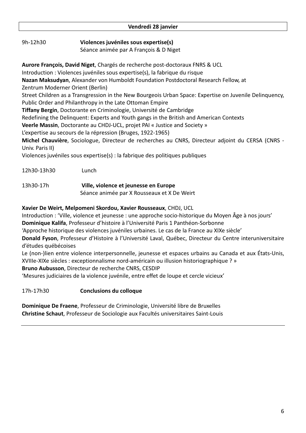#### Vendredi 28 janvier

9h-12h30 Violences juvéniles sous expertise(s)

Séance animée par A François & D Niget

Aurore François, David Niget, Chargés de recherche post-doctoraux FNRS & UCL Introduction : Violences juvéniles sous expertise(s), la fabrique du risque Nazan Maksudyan, Alexander von Humboldt Foundation Postdoctoral Research Fellow, at Zentrum Moderner Orient (Berlin) Street Children as a Transgression in the New Bourgeois Urban Space: Expertise on Juvenile Delinquency, Public Order and Philanthropy in the Late Ottoman Empire Tiffany Bergin, Doctorante en Criminologie, Université de Cambridge Redefining the Delinquent: Experts and Youth gangs in the British and American Contexts Veerle Massin, Doctorante au CHDJ-UCL, projet PAI « Justice and Society » L'expertise au secours de la répression (Bruges, 1922-1965) Michel Chauvière, Sociologue, Directeur de recherches au CNRS, Directeur adjoint du CERSA (CNRS -Univ. Paris II) Violences juvéniles sous expertise(s) : la fabrique des politiques publiques

| 13h30-17h | Ville, violence et jeunesse en Europe       |
|-----------|---------------------------------------------|
|           | Séance animée par X Rousseaux et X De Weirt |

### Xavier De Weirt, Melpomeni Skordou, Xavier Rousseaux, CHDJ, UCL

Introduction : 'Ville, violence et jeunesse : une approche socio-historique du Moyen Âge à nos jours' Dominique Kalifa, Professeur d'histoire à l'Université Paris 1 Panthéon-Sorbonne

'Approche historique des violences juvéniles urbaines. Le cas de la France au XIXe siècle'

Donald Fyson, Professeur d'Histoire à l'Université Laval, Québec, Directeur du Centre interuniversitaire d'études québécoises

Le (non-)lien entre violence interpersonnelle, jeunesse et espaces urbains au Canada et aux États-Unis, XVIIIe-XIXe siècles : exceptionnalisme nord-américain ou illusion historiographique ? »

Bruno Aubusson, Directeur de recherche CNRS, CESDIP

Lunch

'Mesures judiciaires de la violence juvénile, entre effet de loupe et cercle vicieux'

17h-17h30 **Conclusions du colloque** 

12h30-13h30

Dominique De Fraene, Professeur de Criminologie, Université libre de Bruxelles Christine Schaut, Professeur de Sociologie aux Facultés universitaires Saint-Louis